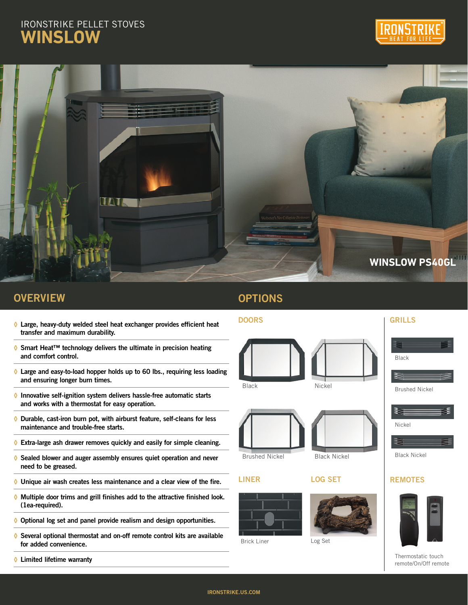# IRONSTRIKE PELLET STOVES **WINSLOW**





## **OVERVIEW**

- **◊** Large, heavy-duty welded steel heat exchanger provides efficient heat transfer and maximum durability.
- **◊** Smart Heat™ technology delivers the ultimate in precision heating and comfort control.
- **◊** Large and easy-to-load hopper holds up to 60 lbs., requiring less loading and ensuring longer burn times.
- **◊** Innovative self-ignition system delivers hassle-free automatic starts and works with a thermostat for easy operation.
- **◊** Durable, cast-iron burn pot, with airburst feature, self-cleans for less maintenance and trouble-free starts.
- **◊** Extra-large ash drawer removes quickly and easily for simple cleaning.
- **◊** Sealed blower and auger assembly ensures quiet operation and never need to be greased.
- **◊** Unique air wash creates less maintenance and a clear view of the fire.
- **◊** Multiple door trims and grill finishes add to the attractive finished look. (1ea-required).
- **◊** Optional log set and panel provide realism and design opportunities.
- **◊** Several optional thermostat and on-off remote control kits are available for added convenience.
- **◊** Limited lifetime warranty

## **OPTIONS**

#### DOORS GRILLS

LINER









Brushed Nickel Black Nickel

#### LOG SET



Brick Liner Log Set



Nickel



### **REMOTES**



Thermostatic touch remote/On/Off remote